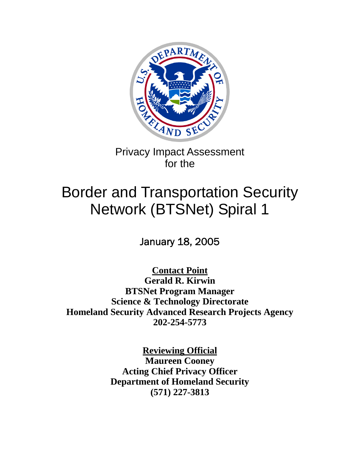

Privacy Impact Assessment for the

# Border and Transportation Security Network (BTSNet) Spiral 1

January 18, 2005

**Contact Point**

**Gerald R. Kirwin BTSNet Program Manager Science & Technology Directorate Homeland Security Advanced Research Projects Agency 202-254-5773** 

> **Reviewing Official Maureen Cooney Acting Chief Privacy Officer Department of Homeland Security (571) 227-3813**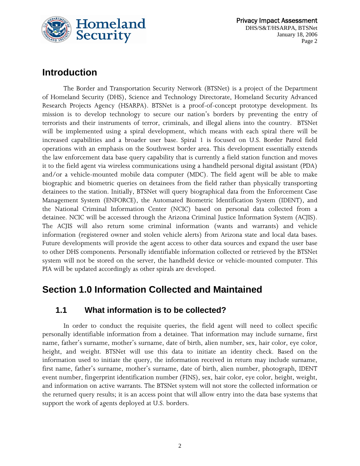

 Privacy Impact Assessment DHS/S&T/HSARPA, BTSNet January 18, 2006 Page 2

## **Introduction**

The Border and Transportation Security Network (BTSNet) is a project of the Department of Homeland Security (DHS), Science and Technology Directorate, Homeland Security Advanced Research Projects Agency (HSARPA). BTSNet is a proof-of-concept prototype development. Its mission is to develop technology to secure our nation's borders by preventing the entry of terrorists and their instruments of terror, criminals, and illegal aliens into the country. BTSNet will be implemented using a spiral development, which means with each spiral there will be increased capabilities and a broader user base. Spiral 1 is focused on U.S. Border Patrol field operations with an emphasis on the Southwest border area. This development essentially extends the law enforcement data base query capability that is currently a field station function and moves it to the field agent via wireless communications using a handheld personal digital assistant (PDA) and/or a vehicle-mounted mobile data computer (MDC). The field agent will be able to make biographic and biometric queries on detainees from the field rather than physically transporting detainees to the station. Initially, BTSNet will query biographical data from the Enforcement Case Management System (ENFORCE), the Automated Biometric Identification System (IDENT), and the National Criminal Information Center (NCIC) based on personal data collected from a detainee. NCIC will be accessed through the Arizona Criminal Justice Information System (ACJIS). The ACJIS will also return some criminal information (wants and warrants) and vehicle information (registered owner and stolen vehicle alerts) from Arizona state and local data bases. Future developments will provide the agent access to other data sources and expand the user base to other DHS components. Personally identifiable information collected or retrieved by the BTSNet system will not be stored on the server, the handheld device or vehicle-mounted computer. This PIA will be updated accordingly as other spirals are developed.

## **Section 1.0 Information Collected and Maintained**

#### **1.1 What information is to be collected?**

In order to conduct the requisite queries, the field agent will need to collect specific personally identifiable information from a detainee. That information may include surname, first name, father's surname, mother's surname, date of birth, alien number, sex, hair color, eye color, height, and weight. BTSNet will use this data to initiate an identity check. Based on the information used to initiate the query, the information received in return may include surname, first name, father's surname, mother's surname, date of birth, alien number, photograph, IDENT event number, fingerprint identification number (FINS), sex, hair color, eye color, height, weight, and information on active warrants. The BTSNet system will not store the collected information or the returned query results; it is an access point that will allow entry into the data base systems that support the work of agents deployed at U.S. borders.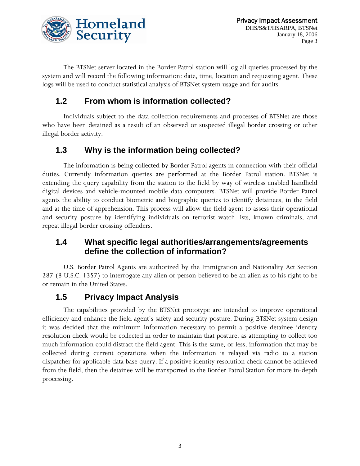

The BTSNet server located in the Border Patrol station will log all queries processed by the system and will record the following information: date, time, location and requesting agent. These logs will be used to conduct statistical analysis of BTSNet system usage and for audits.

#### **1.2 From whom is information collected?**

Individuals subject to the data collection requirements and processes of BTSNet are those who have been detained as a result of an observed or suspected illegal border crossing or other illegal border activity.

#### **1.3 Why is the information being collected?**

The information is being collected by Border Patrol agents in connection with their official duties. Currently information queries are performed at the Border Patrol station. BTSNet is extending the query capability from the station to the field by way of wireless enabled handheld digital devices and vehicle-mounted mobile data computers. BTSNet will provide Border Patrol agents the ability to conduct biometric and biographic queries to identify detainees, in the field and at the time of apprehension. This process will allow the field agent to assess their operational and security posture by identifying individuals on terrorist watch lists, known criminals, and repeat illegal border crossing offenders.

#### **1.4 What specific legal authorities/arrangements/agreements define the collection of information?**

U.S. Border Patrol Agents are authorized by the Immigration and Nationality Act Section 287 (8 U.S.C. 1357) to interrogate any alien or person believed to be an alien as to his right to be or remain in the United States.

#### **1.5 Privacy Impact Analysis**

 The capabilities provided by the BTSNet prototype are intended to improve operational efficiency and enhance the field agent's safety and security posture. During BTSNet system design it was decided that the minimum information necessary to permit a positive detainee identity resolution check would be collected in order to maintain that posture, as attempting to collect too much information could distract the field agent. This is the same, or less, information that may be collected during current operations when the information is relayed via radio to a station dispatcher for applicable data base query. If a positive identity resolution check cannot be achieved from the field, then the detainee will be transported to the Border Patrol Station for more in-depth processing.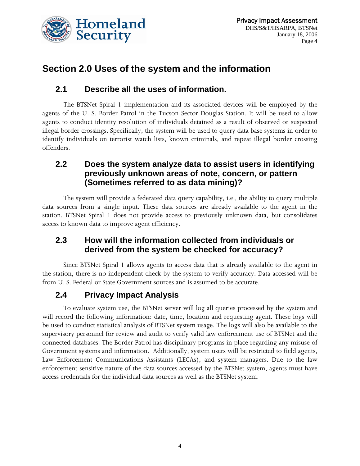

# **Section 2.0 Uses of the system and the information**

#### **2.1 Describe all the uses of information.**

The BTSNet Spiral 1 implementation and its associated devices will be employed by the agents of the U. S. Border Patrol in the Tucson Sector Douglas Station. It will be used to allow agents to conduct identity resolution of individuals detained as a result of observed or suspected illegal border crossings. Specifically, the system will be used to query data base systems in order to identify individuals on terrorist watch lists, known criminals, and repeat illegal border crossing offenders.

#### **2.2 Does the system analyze data to assist users in identifying previously unknown areas of note, concern, or pattern (Sometimes referred to as data mining)?**

The system will provide a federated data query capability, i.e., the ability to query multiple data sources from a single input. These data sources are already available to the agent in the station. BTSNet Spiral 1 does not provide access to previously unknown data, but consolidates access to known data to improve agent efficiency.

#### **2.3 How will the information collected from individuals or derived from the system be checked for accuracy?**

Since BTSNet Spiral 1 allows agents to access data that is already available to the agent in the station, there is no independent check by the system to verify accuracy. Data accessed will be from U. S. Federal or State Government sources and is assumed to be accurate.

#### **2.4 Privacy Impact Analysis**

To evaluate system use, the BTSNet server will log all queries processed by the system and will record the following information: date, time, location and requesting agent. These logs will be used to conduct statistical analysis of BTSNet system usage. The logs will also be available to the supervisory personnel for review and audit to verify valid law enforcement use of BTSNet and the connected databases. The Border Patrol has disciplinary programs in place regarding any misuse of Government systems and information. Additionally, system users will be restricted to field agents, Law Enforcement Communications Assistants (LECAs), and system managers. Due to the law enforcement sensitive nature of the data sources accessed by the BTSNet system, agents must have access credentials for the individual data sources as well as the BTSNet system.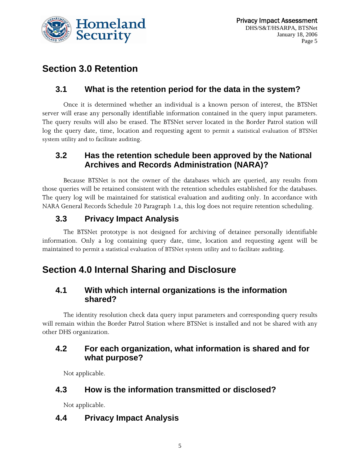

# **Section 3.0 Retention**

#### **3.1 What is the retention period for the data in the system?**

Once it is determined whether an individual is a known person of interest, the BTSNet server will erase any personally identifiable information contained in the query input parameters. The query results will also be erased. The BTSNet server located in the Border Patrol station will log the query date, time, location and requesting agent to permit a statistical evaluation of BTSNet system utility and to facilitate auditing.

#### **3.2 Has the retention schedule been approved by the National Archives and Records Administration (NARA)?**

Because BTSNet is not the owner of the databases which are queried, any results from those queries will be retained consistent with the retention schedules established for the databases. The query log will be maintained for statistical evaluation and auditing only. In accordance with NARA General Records Schedule 20 Paragraph 1.a, this log does not require retention scheduling.

## **3.3 Privacy Impact Analysis**

The BTSNet prototype is not designed for archiving of detainee personally identifiable information. Only a log containing query date, time, location and requesting agent will be maintained to permit a statistical evaluation of BTSNet system utility and to facilitate auditing.

# **Section 4.0 Internal Sharing and Disclosure**

#### **4.1 With which internal organizations is the information shared?**

The identity resolution check data query input parameters and corresponding query results will remain within the Border Patrol Station where BTSNet is installed and not be shared with any other DHS organization.

#### **4.2 For each organization, what information is shared and for what purpose?**

Not applicable.

#### **4.3 How is the information transmitted or disclosed?**

Not applicable.

#### **4.4 Privacy Impact Analysis**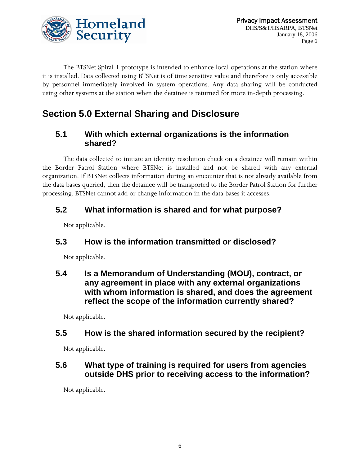

The BTSNet Spiral 1 prototype is intended to enhance local operations at the station where it is installed. Data collected using BTSNet is of time sensitive value and therefore is only accessible by personnel immediately involved in system operations. Any data sharing will be conducted using other systems at the station when the detainee is returned for more in-depth processing.

# **Section 5.0 External Sharing and Disclosure**

#### **5.1 With which external organizations is the information shared?**

The data collected to initiate an identity resolution check on a detainee will remain within the Border Patrol Station where BTSNet is installed and not be shared with any external organization. If BTSNet collects information during an encounter that is not already available from the data bases queried, then the detainee will be transported to the Border Patrol Station for further processing. BTSNet cannot add or change information in the data bases it accesses.

## **5.2 What information is shared and for what purpose?**

Not applicable.

## **5.3 How is the information transmitted or disclosed?**

Not applicable.

**5.4 Is a Memorandum of Understanding (MOU), contract, or any agreement in place with any external organizations with whom information is shared, and does the agreement reflect the scope of the information currently shared?** 

Not applicable.

#### **5.5 How is the shared information secured by the recipient?**

Not applicable.

#### **5.6 What type of training is required for users from agencies outside DHS prior to receiving access to the information?**

Not applicable.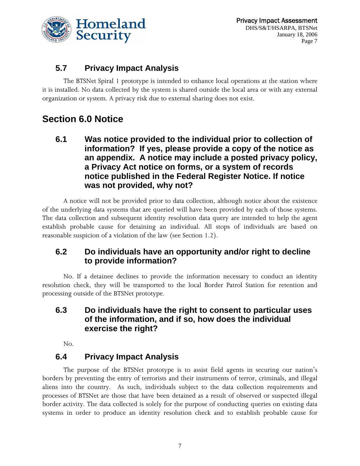

#### **5.7 Privacy Impact Analysis**

The BTSNet Spiral 1 prototype is intended to enhance local operations at the station where it is installed. No data collected by the system is shared outside the local area or with any external organization or system. A privacy risk due to external sharing does not exist.

# **Section 6.0 Notice**

**6.1 Was notice provided to the individual prior to collection of information? If yes, please provide a copy of the notice as an appendix. A notice may include a posted privacy policy, a Privacy Act notice on forms, or a system of records notice published in the Federal Register Notice. If notice was not provided, why not?** 

A notice will not be provided prior to data collection, although notice about the existence of the underlying data systems that are queried will have been provided by each of those systems. The data collection and subsequent identity resolution data query are intended to help the agent establish probable cause for detaining an individual. All stops of individuals are based on reasonable suspicion of a violation of the law (see Section 1.2).

#### **6.2 Do individuals have an opportunity and/or right to decline to provide information?**

No. If a detainee declines to provide the information necessary to conduct an identity resolution check, they will be transported to the local Border Patrol Station for retention and processing outside of the BTSNet prototype.

#### **6.3 Do individuals have the right to consent to particular uses of the information, and if so, how does the individual exercise the right?**

No.

#### **6.4 Privacy Impact Analysis**

The purpose of the BTSNet prototype is to assist field agents in securing our nation's borders by preventing the entry of terrorists and their instruments of terror, criminals, and illegal aliens into the country. As such, individuals subject to the data collection requirements and processes of BTSNet are those that have been detained as a result of observed or suspected illegal border activity. The data collected is solely for the purpose of conducting queries on existing data systems in order to produce an identity resolution check and to establish probable cause for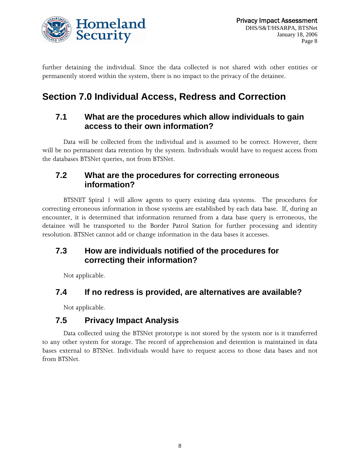

further detaining the individual. Since the data collected is not shared with other entities or permanently stored within the system, there is no impact to the privacy of the detainee.

# **Section 7.0 Individual Access, Redress and Correction**

#### **7.1 What are the procedures which allow individuals to gain access to their own information?**

Data will be collected from the individual and is assumed to be correct. However, there will be no permanent data retention by the system. Individuals would have to request access from the databases BTSNet queries, not from BTSNet.

#### **7.2 What are the procedures for correcting erroneous information?**

BTSNET Spiral 1 will allow agents to query existing data systems. The procedures for correcting erroneous information in those systems are established by each data base. If, during an encounter, it is determined that information returned from a data base query is erroneous, the detainee will be transported to the Border Patrol Station for further processing and identity resolution. BTSNet cannot add or change information in the data bases it accesses.

#### **7.3 How are individuals notified of the procedures for correcting their information?**

Not applicable.

#### **7.4 If no redress is provided, are alternatives are available?**

Not applicable.

#### **7.5 Privacy Impact Analysis**

Data collected using the BTSNet prototype is not stored by the system nor is it transferred to any other system for storage. The record of apprehension and detention is maintained in data bases external to BTSNet. Individuals would have to request access to those data bases and not from BTSNet.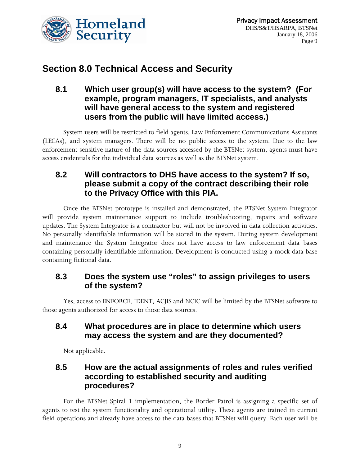

## **Section 8.0 Technical Access and Security**

#### **8.1 Which user group(s) will have access to the system? (For example, program managers, IT specialists, and analysts will have general access to the system and registered users from the public will have limited access.)**

System users will be restricted to field agents, Law Enforcement Communications Assistants (LECAs), and system managers. There will be no public access to the system. Due to the law enforcement sensitive nature of the data sources accessed by the BTSNet system, agents must have access credentials for the individual data sources as well as the BTSNet system.

#### **8.2 Will contractors to DHS have access to the system? If so, please submit a copy of the contract describing their role to the Privacy Office with this PIA.**

Once the BTSNet prototype is installed and demonstrated, the BTSNet System Integrator will provide system maintenance support to include troubleshooting, repairs and software updates. The System Integrator is a contractor but will not be involved in data collection activities. No personally identifiable information will be stored in the system. During system development and maintenance the System Integrator does not have access to law enforcement data bases containing personally identifiable information. Development is conducted using a mock data base containing fictional data.

#### **8.3 Does the system use "roles" to assign privileges to users of the system?**

Yes, access to ENFORCE, IDENT, ACJIS and NCIC will be limited by the BTSNet software to those agents authorized for access to those data sources.

#### **8.4 What procedures are in place to determine which users may access the system and are they documented?**

Not applicable.

#### **8.5 How are the actual assignments of roles and rules verified according to established security and auditing procedures?**

For the BTSNet Spiral 1 implementation, the Border Patrol is assigning a specific set of agents to test the system functionality and operational utility. These agents are trained in current field operations and already have access to the data bases that BTSNet will query. Each user will be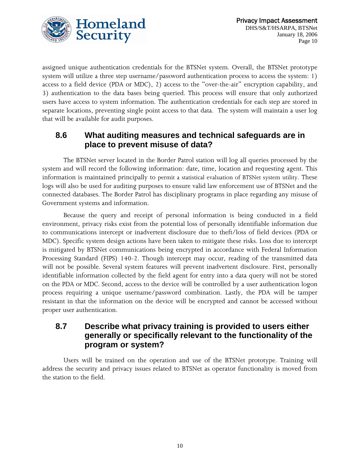

assigned unique authentication credentials for the BTSNet system. Overall, the BTSNet prototype system will utilize a three step username/password authentication process to access the system: 1) access to a field device (PDA or MDC), 2) access to the "over-the-air" encryption capability, and 3) authentication to the data bases being queried. This process will ensure that only authorized users have access to system information. The authentication credentials for each step are stored in separate locations, preventing single point access to that data. The system will maintain a user log that will be available for audit purposes.

#### **8.6 What auditing measures and technical safeguards are in place to prevent misuse of data?**

The BTSNet server located in the Border Patrol station will log all queries processed by the system and will record the following information: date, time, location and requesting agent. This information is maintained principally to permit a statistical evaluation of BTSNet system utility. These logs will also be used for auditing purposes to ensure valid law enforcement use of BTSNet and the connected databases. The Border Patrol has disciplinary programs in place regarding any misuse of Government systems and information.

Because the query and receipt of personal information is being conducted in a field environment, privacy risks exist from the potential loss of personally identifiable information due to communications intercept or inadvertent disclosure due to theft/loss of field devices (PDA or MDC). Specific system design actions have been taken to mitigate these risks. Loss due to intercept is mitigated by BTSNet communications being encrypted in accordance with Federal Information Processing Standard (FIPS) 140-2. Though intercept may occur, reading of the transmitted data will not be possible. Several system features will prevent inadvertent disclosure. First, personally identifiable information collected by the field agent for entry into a data query will not be stored on the PDA or MDC. Second, access to the device will be controlled by a user authentication logon process requiring a unique username/password combination. Lastly, the PDA will be tamper resistant in that the information on the device will be encrypted and cannot be accessed without proper user authentication.

#### **8.7 Describe what privacy training is provided to users either generally or specifically relevant to the functionality of the program or system?**

Users will be trained on the operation and use of the BTSNet prototype. Training will address the security and privacy issues related to BTSNet as operator functionality is moved from the station to the field.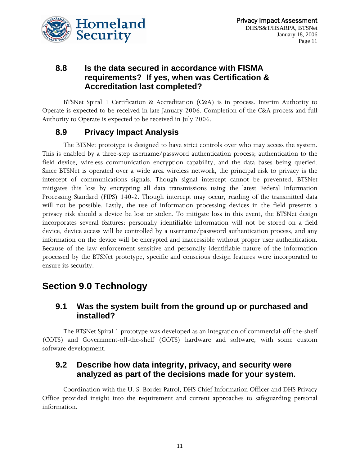

#### **8.8 Is the data secured in accordance with FISMA requirements? If yes, when was Certification & Accreditation last completed?**

BTSNet Spiral 1 Certification & Accreditation (C&A) is in process. Interim Authority to Operate is expected to be received in late January 2006. Completion of the C&A process and full Authority to Operate is expected to be received in July 2006.

#### **8.9 Privacy Impact Analysis**

The BTSNet prototype is designed to have strict controls over who may access the system. This is enabled by a three-step username/password authentication process; authentication to the field device, wireless communication encryption capability, and the data bases being queried. Since BTSNet is operated over a wide area wireless network, the principal risk to privacy is the intercept of communications signals. Though signal intercept cannot be prevented, BTSNet mitigates this loss by encrypting all data transmissions using the latest Federal Information Processing Standard (FIPS) 140-2. Though intercept may occur, reading of the transmitted data will not be possible. Lastly, the use of information processing devices in the field presents a privacy risk should a device be lost or stolen. To mitigate loss in this event, the BTSNet design incorporates several features: personally identifiable information will not be stored on a field device, device access will be controlled by a username/password authentication process, and any information on the device will be encrypted and inaccessible without proper user authentication. Because of the law enforcement sensitive and personally identifiable nature of the information processed by the BTSNet prototype, specific and conscious design features were incorporated to ensure its security.

## **Section 9.0 Technology**

#### **9.1 Was the system built from the ground up or purchased and installed?**

The BTSNet Spiral 1 prototype was developed as an integration of commercial-off-the-shelf (COTS) and Government-off-the-shelf (GOTS) hardware and software, with some custom software development.

#### **9.2 Describe how data integrity, privacy, and security were analyzed as part of the decisions made for your system.**

Coordination with the U. S. Border Patrol, DHS Chief Information Officer and DHS Privacy Office provided insight into the requirement and current approaches to safeguarding personal information.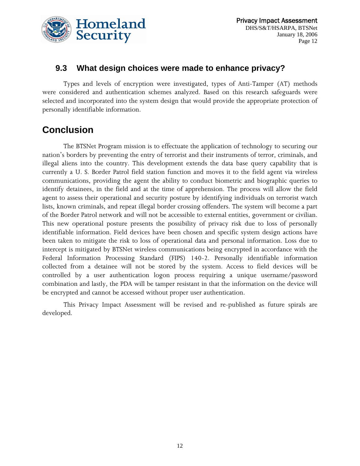

#### **9.3 What design choices were made to enhance privacy?**

Types and levels of encryption were investigated, types of Anti-Tamper (AT) methods were considered and authentication schemes analyzed. Based on this research safeguards were selected and incorporated into the system design that would provide the appropriate protection of personally identifiable information.

## **Conclusion**

The BTSNet Program mission is to effectuate the application of technology to securing our nation's borders by preventing the entry of terrorist and their instruments of terror, criminals, and illegal aliens into the country. This development extends the data base query capability that is currently a U. S. Border Patrol field station function and moves it to the field agent via wireless communications, providing the agent the ability to conduct biometric and biographic queries to identify detainees, in the field and at the time of apprehension. The process will allow the field agent to assess their operational and security posture by identifying individuals on terrorist watch lists, known criminals, and repeat illegal border crossing offenders. The system will become a part of the Border Patrol network and will not be accessible to external entities, government or civilian. This new operational posture presents the possibility of privacy risk due to loss of personally identifiable information. Field devices have been chosen and specific system design actions have been taken to mitigate the risk to loss of operational data and personal information. Loss due to intercept is mitigated by BTSNet wireless communications being encrypted in accordance with the Federal Information Processing Standard (FIPS) 140-2. Personally identifiable information collected from a detainee will not be stored by the system. Access to field devices will be controlled by a user authentication logon process requiring a unique username/password combination and lastly, the PDA will be tamper resistant in that the information on the device will be encrypted and cannot be accessed without proper user authentication.

This Privacy Impact Assessment will be revised and re-published as future spirals are developed.